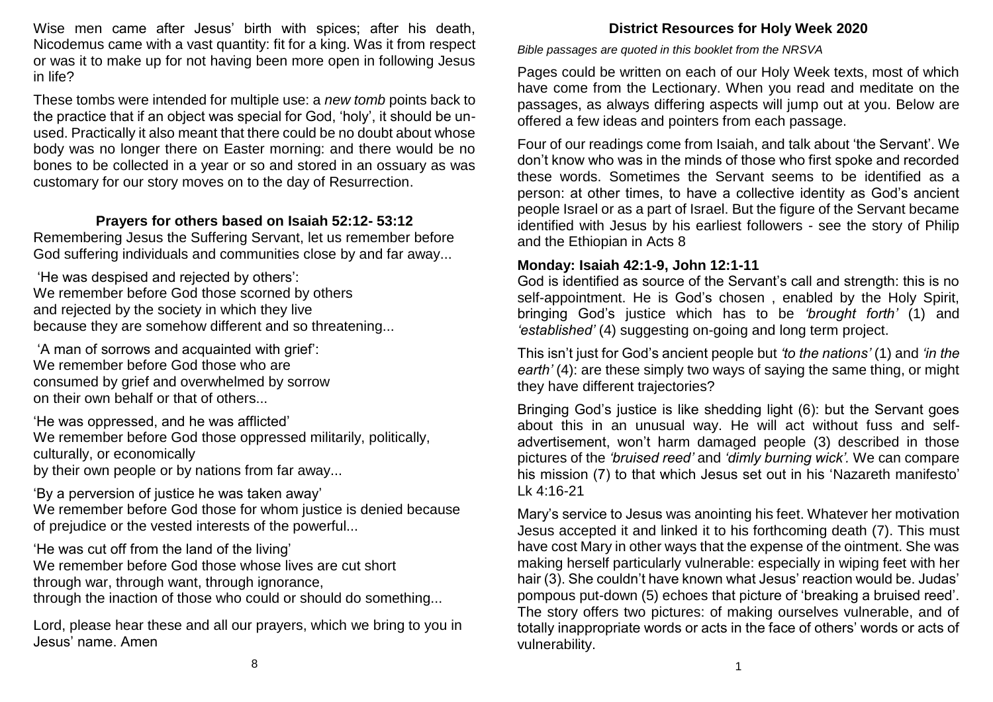Wise men came after Jesus' birth with spices; after his death, Nicodemus came with a vast quantity: fit for a king. Was it from respect or was it to make up for not having been more open in following Jesus in life?

These tombs were intended for multiple use: a *new tomb* points back to the practice that if an object was special for God, 'holy', it should be unused. Practically it also meant that there could be no doubt about whose body was no longer there on Easter morning: and there would be no bones to be collected in a year or so and stored in an ossuary as was customary for our story moves on to the day of Resurrection.

## **Prayers for others based on Isaiah 52:12- 53:12**

Remembering Jesus the Suffering Servant, let us remember before God suffering individuals and communities close by and far away...

'He was despised and rejected by others': We remember before God those scorned by others and rejected by the society in which they live because they are somehow different and so threatening...

'A man of sorrows and acquainted with grief': We remember before God those who are consumed by grief and overwhelmed by sorrow on their own behalf or that of others...

'He was oppressed, and he was afflicted' We remember before God those oppressed militarily, politically, culturally, or economically by their own people or by nations from far away...

'By a perversion of justice he was taken away' We remember before God those for whom justice is denied because of prejudice or the vested interests of the powerful...

'He was cut off from the land of the living' We remember before God those whose lives are cut short through war, through want, through ignorance, through the inaction of those who could or should do something...

Lord, please hear these and all our prayers, which we bring to you in Jesus' name. Amen

# **District Resources for Holy Week 2020**

*Bible passages are quoted in this booklet from the NRSVA* 

Pages could be written on each of our Holy Week texts, most of which have come from the Lectionary. When you read and meditate on the passages, as always differing aspects will jump out at you. Below are offered a few ideas and pointers from each passage.

Four of our readings come from Isaiah, and talk about 'the Servant'. We don't know who was in the minds of those who first spoke and recorded these words. Sometimes the Servant seems to be identified as a person: at other times, to have a collective identity as God's ancient people Israel or as a part of Israel. But the figure of the Servant became identified with Jesus by his earliest followers - see the story of Philip and the Ethiopian in Acts 8

# **Monday: Isaiah 42:1-9, John 12:1-11**

God is identified as source of the Servant's call and strength: this is no self-appointment. He is God's chosen , enabled by the Holy Spirit, bringing God's justice which has to be *'brought forth'* (1) and *'established'* (4) suggesting on-going and long term project.

This isn't just for God's ancient people but *'to the nations'* (1) and *'in the earth'* (4): are these simply two ways of saying the same thing, or might they have different trajectories?

Bringing God's justice is like shedding light (6): but the Servant goes about this in an unusual way. He will act without fuss and selfadvertisement, won't harm damaged people (3) described in those pictures of the *'bruised reed'* and *'dimly burning wick'.* We can compare his mission (7) to that which Jesus set out in his 'Nazareth manifesto' Lk 4:16-21

Mary's service to Jesus was anointing his feet. Whatever her motivation Jesus accepted it and linked it to his forthcoming death (7). This must have cost Mary in other ways that the expense of the ointment. She was making herself particularly vulnerable: especially in wiping feet with her hair (3). She couldn't have known what Jesus' reaction would be. Judas' pompous put-down (5) echoes that picture of 'breaking a bruised reed'. The story offers two pictures: of making ourselves vulnerable, and of totally inappropriate words or acts in the face of others' words or acts of vulnerability.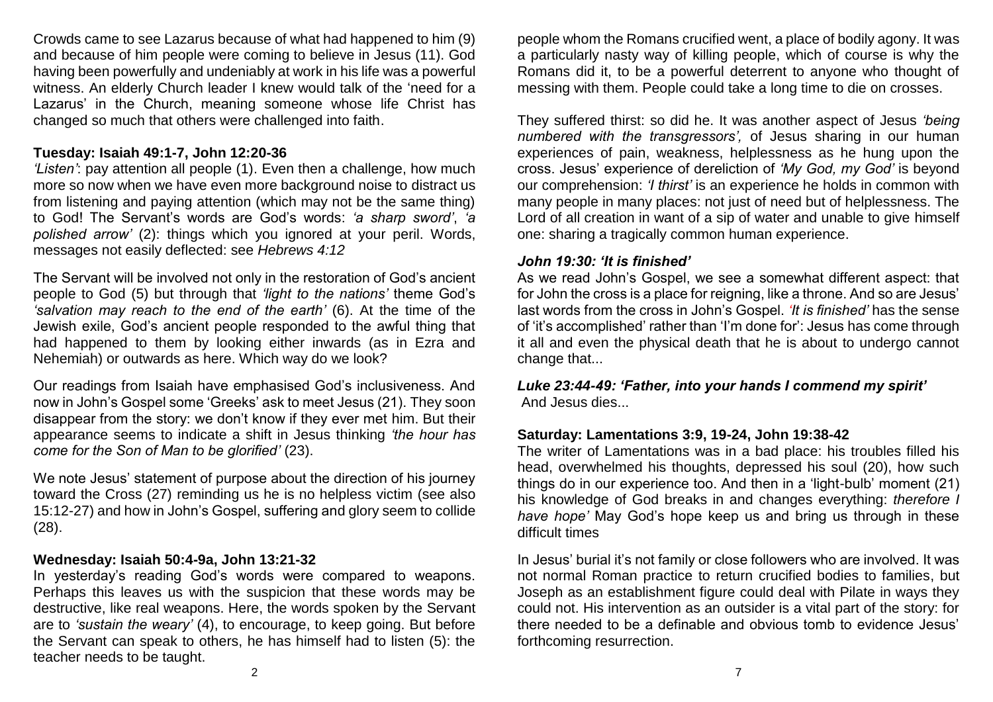Crowds came to see Lazarus because of what had happened to him (9) and because of him people were coming to believe in Jesus (11). God having been powerfully and undeniably at work in his life was a powerful witness. An elderly Church leader I knew would talk of the 'need for a Lazarus' in the Church, meaning someone whose life Christ has changed so much that others were challenged into faith.

#### **Tuesday: Isaiah 49:1-7, John 12:20-36**

*'Listen'*: pay attention all people (1). Even then a challenge, how much more so now when we have even more background noise to distract us from listening and paying attention (which may not be the same thing) to God! The Servant's words are God's words: *'a sharp sword'*, *'a polished arrow'* (2): things which you ignored at your peril. Words, messages not easily deflected: see *Hebrews 4:12*

The Servant will be involved not only in the restoration of God's ancient people to God (5) but through that *'light to the nations'* theme God's *'salvation may reach to the end of the earth'* (6). At the time of the Jewish exile, God's ancient people responded to the awful thing that had happened to them by looking either inwards (as in Ezra and Nehemiah) or outwards as here. Which way do we look?

Our readings from Isaiah have emphasised God's inclusiveness. And now in John's Gospel some 'Greeks' ask to meet Jesus (21). They soon disappear from the story: we don't know if they ever met him. But their appearance seems to indicate a shift in Jesus thinking *'the hour has come for the Son of Man to be glorified'* (23).

We note Jesus' statement of purpose about the direction of his journey toward the Cross (27) reminding us he is no helpless victim (see also 15:12-27) and how in John's Gospel, suffering and glory seem to collide (28).

### **Wednesday: Isaiah 50:4-9a, John 13:21-32**

In yesterday's reading God's words were compared to weapons. Perhaps this leaves us with the suspicion that these words may be destructive, like real weapons. Here, the words spoken by the Servant are to *'sustain the weary'* (4), to encourage, to keep going. But before the Servant can speak to others, he has himself had to listen (5): the teacher needs to be taught.

people whom the Romans crucified went, a place of bodily agony. It was a particularly nasty way of killing people, which of course is why the Romans did it, to be a powerful deterrent to anyone who thought of messing with them. People could take a long time to die on crosses.

They suffered thirst: so did he. It was another aspect of Jesus *'being numbered with the transgressors',* of Jesus sharing in our human experiences of pain, weakness, helplessness as he hung upon the cross. Jesus' experience of dereliction of *'My God, my God'* is beyond our comprehension: *'I thirst'* is an experience he holds in common with many people in many places: not just of need but of helplessness. The Lord of all creation in want of a sip of water and unable to give himself one: sharing a tragically common human experience.

#### *John 19:30: 'It is finished'*

As we read John's Gospel, we see a somewhat different aspect: that for John the cross is a place for reigning, like a throne. And so are Jesus' last words from the cross in John's Gospel. *'It is finished'* has the sense of 'it's accomplished' rather than 'I'm done for': Jesus has come through it all and even the physical death that he is about to undergo cannot change that...

*Luke 23:44-49: 'Father, into your hands I commend my spirit'* And Jesus dies...

### **Saturday: Lamentations 3:9, 19-24, John 19:38-42**

The writer of Lamentations was in a bad place: his troubles filled his head, overwhelmed his thoughts, depressed his soul (20), how such things do in our experience too. And then in a 'light-bulb' moment (21) his knowledge of God breaks in and changes everything: *therefore I have hope'* May God's hope keep us and bring us through in these difficult times

In Jesus' burial it's not family or close followers who are involved. It was not normal Roman practice to return crucified bodies to families, but Joseph as an establishment figure could deal with Pilate in ways they could not. His intervention as an outsider is a vital part of the story: for there needed to be a definable and obvious tomb to evidence Jesus' forthcoming resurrection.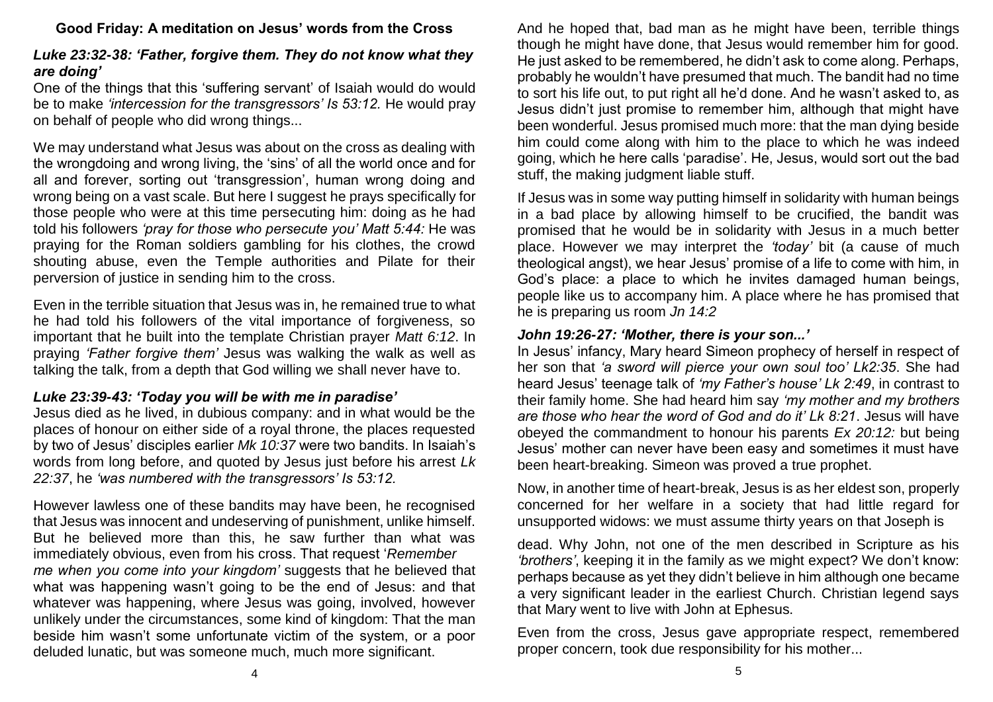## **Good Friday: A meditation on Jesus' words from the Cross**

# *Luke 23:32-38: 'Father, forgive them. They do not know what they are doing'*

One of the things that this 'suffering servant' of Isaiah would do would be to make *'intercession for the transgressors' Is 53:12.* He would pray on behalf of people who did wrong things...

We may understand what Jesus was about on the cross as dealing with the wrongdoing and wrong living, the 'sins' of all the world once and for all and forever, sorting out 'transgression', human wrong doing and wrong being on a vast scale. But here I suggest he prays specifically for those people who were at this time persecuting him: doing as he had told his followers *'pray for those who persecute you' Matt 5:44:* He was praying for the Roman soldiers gambling for his clothes, the crowd shouting abuse, even the Temple authorities and Pilate for their perversion of justice in sending him to the cross.

Even in the terrible situation that Jesus was in, he remained true to what he had told his followers of the vital importance of forgiveness, so important that he built into the template Christian prayer *Matt 6:12*. In praying *'Father forgive them'* Jesus was walking the walk as well as talking the talk, from a depth that God willing we shall never have to.

### *Luke 23:39-43: 'Today you will be with me in paradise'*

Jesus died as he lived, in dubious company: and in what would be the places of honour on either side of a royal throne, the places requested by two of Jesus' disciples earlier *Mk 10:37* were two bandits. In Isaiah's words from long before, and quoted by Jesus just before his arrest *Lk 22:37*, he *'was numbered with the transgressors' Is 53:12.*

However lawless one of these bandits may have been, he recognised that Jesus was innocent and undeserving of punishment, unlike himself. But he believed more than this, he saw further than what was immediately obvious, even from his cross. That request '*Remember me when you come into your kingdom'* suggests that he believed that what was happening wasn't going to be the end of Jesus; and that whatever was happening, where Jesus was going, involved, however unlikely under the circumstances, some kind of kingdom: That the man beside him wasn't some unfortunate victim of the system, or a poor deluded lunatic, but was someone much, much more significant.

And he hoped that, bad man as he might have been, terrible things though he might have done, that Jesus would remember him for good. He just asked to be remembered, he didn't ask to come along. Perhaps, probably he wouldn't have presumed that much. The bandit had no time to sort his life out, to put right all he'd done. And he wasn't asked to, as Jesus didn't just promise to remember him, although that might have been wonderful. Jesus promised much more: that the man dying beside him could come along with him to the place to which he was indeed going, which he here calls 'paradise'. He, Jesus, would sort out the bad stuff, the making judgment liable stuff.

If Jesus was in some way putting himself in solidarity with human beings in a bad place by allowing himself to be crucified, the bandit was promised that he would be in solidarity with Jesus in a much better place. However we may interpret the *'today'* bit (a cause of much theological angst), we hear Jesus' promise of a life to come with him, in God's place: a place to which he invites damaged human beings, people like us to accompany him. A place where he has promised that he is preparing us room *Jn 14:2*

## *John 19:26-27: 'Mother, there is your son...'*

In Jesus' infancy, Mary heard Simeon prophecy of herself in respect of her son that *'a sword will pierce your own soul too' Lk2:35*. She had heard Jesus' teenage talk of *'my Father's house' Lk 2:49*, in contrast to their family home. She had heard him say *'my mother and my brothers are those who hear the word of God and do it' Lk 8:21*. Jesus will have obeyed the commandment to honour his parents *Ex 20:12:* but being Jesus' mother can never have been easy and sometimes it must have been heart-breaking. Simeon was proved a true prophet.

Now, in another time of heart-break, Jesus is as her eldest son, properly concerned for her welfare in a society that had little regard for unsupported widows: we must assume thirty years on that Joseph is

dead. Why John, not one of the men described in Scripture as his *'brothers'*, keeping it in the family as we might expect? We don't know: perhaps because as yet they didn't believe in him although one became a very significant leader in the earliest Church. Christian legend says that Mary went to live with John at Ephesus.

Even from the cross, Jesus gave appropriate respect, remembered proper concern, took due responsibility for his mother...